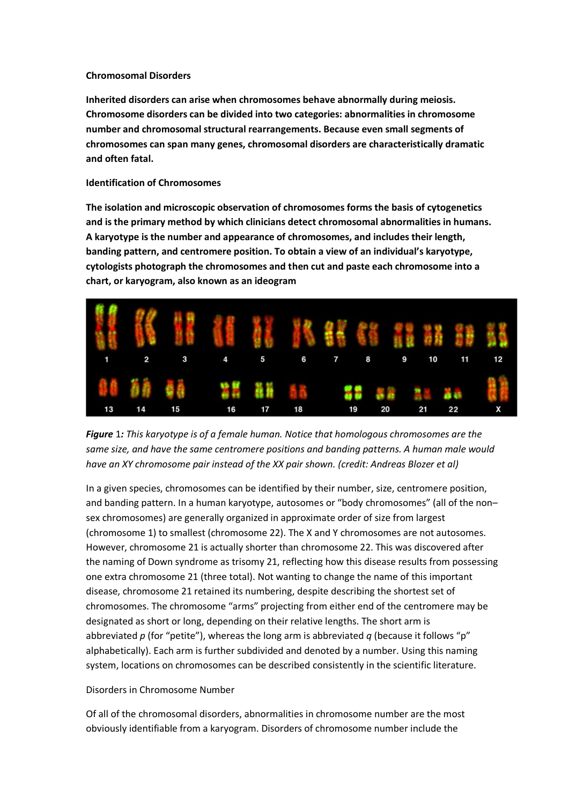#### **Chromosomal Disorders**

**Inherited disorders can arise when chromosomes behave abnormally during meiosis. Chromosome disorders can be divided into two categories: abnormalities in chromosome number and chromosomal structural rearrangements. Because even small segments of chromosomes can span many genes, chromosomal disorders are characteristically dramatic and often fatal.**

#### **Identification of Chromosomes**

**The isolation and microscopic observation of chromosomes forms the basis of cytogenetics and is the primary method by which clinicians detect chromosomal abnormalities in humans. A karyotype is the number and appearance of chromosomes, and includes their length, banding pattern, and centromere position. To obtain a view of an individual's karyotype, cytologists photograph the chromosomes and then cut and paste each chromosome into a chart, or karyogram, also known as an ideogram**





In a given species, chromosomes can be identified by their number, size, centromere position, and banding pattern. In a human karyotype, autosomes or "body chromosomes" (all of the non– sex chromosomes) are generally organized in approximate order of size from largest (chromosome 1) to smallest (chromosome 22). The X and Y chromosomes are not autosomes. However, chromosome 21 is actually shorter than chromosome 22. This was discovered after the naming of Down syndrome as trisomy 21, reflecting how this disease results from possessing one extra chromosome 21 (three total). Not wanting to change the name of this important disease, chromosome 21 retained its numbering, despite describing the shortest set of chromosomes. The chromosome "arms" projecting from either end of the centromere may be designated as short or long, depending on their relative lengths. The short arm is abbreviated *p* (for "petite"), whereas the long arm is abbreviated *q* (because it follows "p" alphabetically). Each arm is further subdivided and denoted by a number. Using this naming system, locations on chromosomes can be described consistently in the scientific literature.

## Disorders in Chromosome Number

Of all of the chromosomal disorders, abnormalities in chromosome number are the most obviously identifiable from a karyogram. Disorders of chromosome number include the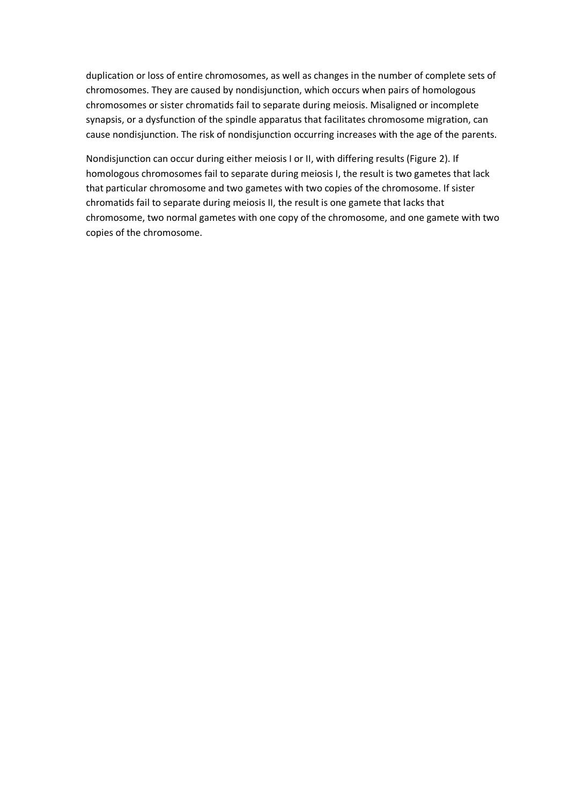duplication or loss of entire chromosomes, as well as changes in the number of complete sets of chromosomes. They are caused by nondisjunction, which occurs when pairs of homologous chromosomes or sister chromatids fail to separate during meiosis. Misaligned or incomplete synapsis, or a dysfunction of the spindle apparatus that facilitates chromosome migration, can cause nondisjunction. The risk of nondisjunction occurring increases with the age of the parents.

Nondisjunction can occur during either meiosis I or II, with differing results (Figure 2). If homologous chromosomes fail to separate during meiosis I, the result is two gametes that lack that particular chromosome and two gametes with two copies of the chromosome. If sister chromatids fail to separate during meiosis II, the result is one gamete that lacks that chromosome, two normal gametes with one copy of the chromosome, and one gamete with two copies of the chromosome.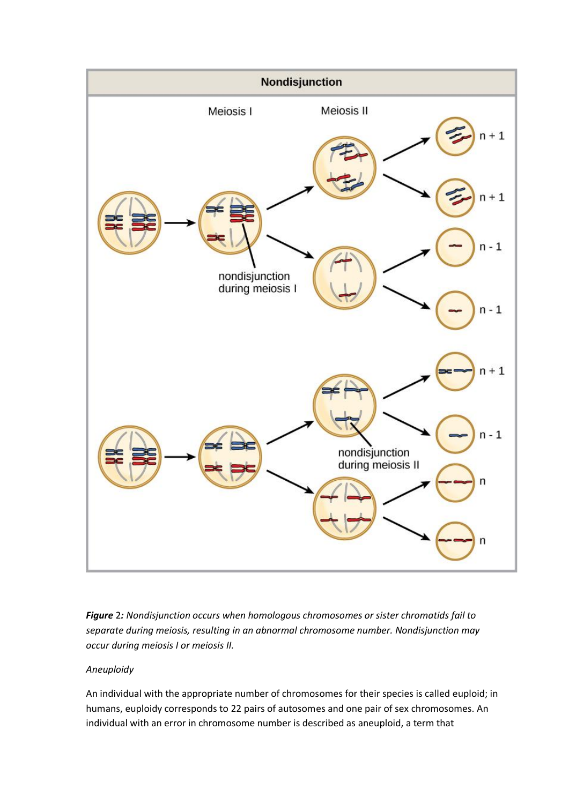

*Figure* 2*: Nondisjunction occurs when homologous chromosomes or sister chromatids fail to separate during meiosis, resulting in an abnormal chromosome number. Nondisjunction may occur during meiosis I or meiosis II.*

## *Aneuploidy*

An individual with the appropriate number of chromosomes for their species is called euploid; in humans, euploidy corresponds to 22 pairs of autosomes and one pair of sex chromosomes. An individual with an error in chromosome number is described as aneuploid, a term that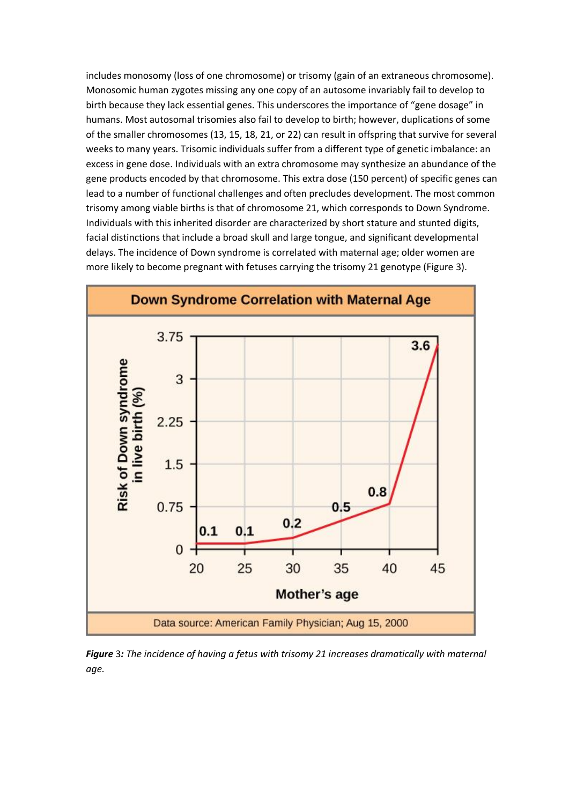includes monosomy (loss of one chromosome) or trisomy (gain of an extraneous chromosome). Monosomic human zygotes missing any one copy of an autosome invariably fail to develop to birth because they lack essential genes. This underscores the importance of "gene dosage" in humans. Most autosomal trisomies also fail to develop to birth; however, duplications of some of the smaller chromosomes (13, 15, 18, 21, or 22) can result in offspring that survive for several weeks to many years. Trisomic individuals suffer from a different type of genetic imbalance: an excess in gene dose. Individuals with an extra chromosome may synthesize an abundance of the gene products encoded by that chromosome. This extra dose (150 percent) of specific genes can lead to a number of functional challenges and often precludes development. The most common trisomy among viable births is that of chromosome 21, which corresponds to Down Syndrome. Individuals with this inherited disorder are characterized by short stature and stunted digits, facial distinctions that include a broad skull and large tongue, and significant developmental delays. The incidence of Down syndrome is correlated with maternal age; older women are more likely to become pregnant with fetuses carrying the trisomy 21 genotype (Figure 3).



*Figure* 3*: The incidence of having a fetus with trisomy 21 increases dramatically with maternal age.*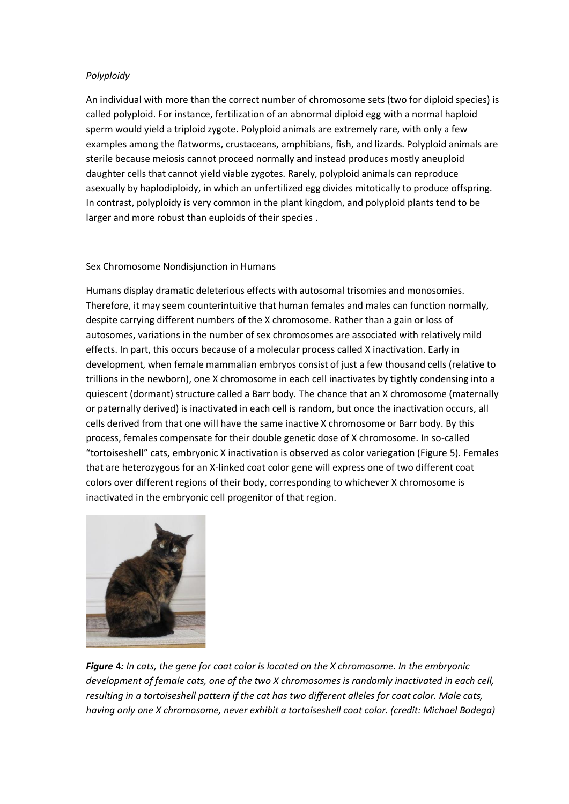#### *Polyploidy*

An individual with more than the correct number of chromosome sets (two for diploid species) is called polyploid. For instance, fertilization of an abnormal diploid egg with a normal haploid sperm would yield a triploid zygote. Polyploid animals are extremely rare, with only a few examples among the flatworms, crustaceans, amphibians, fish, and lizards. Polyploid animals are sterile because meiosis cannot proceed normally and instead produces mostly aneuploid daughter cells that cannot yield viable zygotes. Rarely, polyploid animals can reproduce asexually by haplodiploidy, in which an unfertilized egg divides mitotically to produce offspring. In contrast, polyploidy is very common in the plant kingdom, and polyploid plants tend to be larger and more robust than euploids of their species .

## Sex Chromosome Nondisjunction in Humans

Humans display dramatic deleterious effects with autosomal trisomies and monosomies. Therefore, it may seem counterintuitive that human females and males can function normally, despite carrying different numbers of the X chromosome. Rather than a gain or loss of autosomes, variations in the number of sex chromosomes are associated with relatively mild effects. In part, this occurs because of a molecular process called X inactivation. Early in development, when female mammalian embryos consist of just a few thousand cells (relative to trillions in the newborn), one X chromosome in each cell inactivates by tightly condensing into a quiescent (dormant) structure called a Barr body. The chance that an X chromosome (maternally or paternally derived) is inactivated in each cell is random, but once the inactivation occurs, all cells derived from that one will have the same inactive X chromosome or Barr body. By this process, females compensate for their double genetic dose of X chromosome. In so-called "tortoiseshell" cats, embryonic X inactivation is observed as color variegation (Figure 5). Females that are heterozygous for an X-linked coat color gene will express one of two different coat colors over different regions of their body, corresponding to whichever X chromosome is inactivated in the embryonic cell progenitor of that region.



*Figure* 4*: In cats, the gene for coat color is located on the X chromosome. In the embryonic development of female cats, one of the two X chromosomes is randomly inactivated in each cell, resulting in a tortoiseshell pattern if the cat has two different alleles for coat color. Male cats, having only one X chromosome, never exhibit a tortoiseshell coat color. (credit: Michael Bodega)*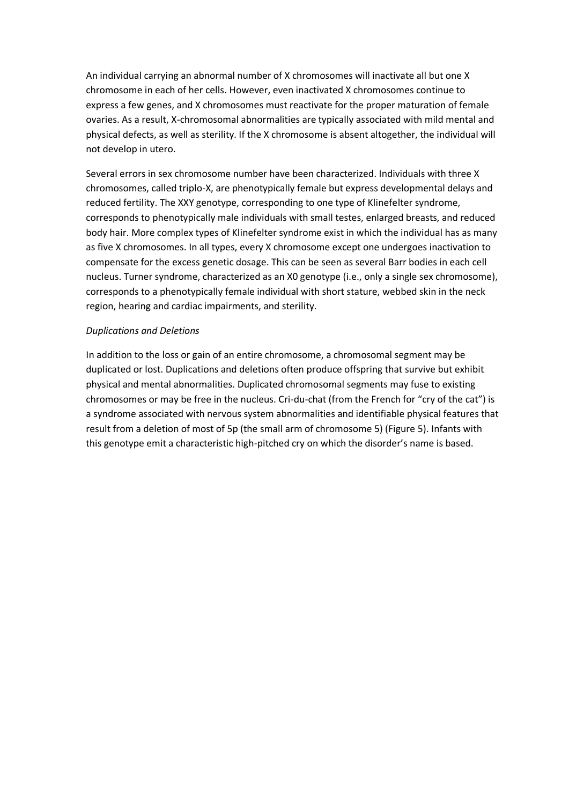An individual carrying an abnormal number of X chromosomes will inactivate all but one X chromosome in each of her cells. However, even inactivated X chromosomes continue to express a few genes, and X chromosomes must reactivate for the proper maturation of female ovaries. As a result, X-chromosomal abnormalities are typically associated with mild mental and physical defects, as well as sterility. If the X chromosome is absent altogether, the individual will not develop in utero.

Several errors in sex chromosome number have been characterized. Individuals with three X chromosomes, called triplo-X, are phenotypically female but express developmental delays and reduced fertility. The XXY genotype, corresponding to one type of Klinefelter syndrome, corresponds to phenotypically male individuals with small testes, enlarged breasts, and reduced body hair. More complex types of Klinefelter syndrome exist in which the individual has as many as five X chromosomes. In all types, every X chromosome except one undergoes inactivation to compensate for the excess genetic dosage. This can be seen as several Barr bodies in each cell nucleus. Turner syndrome, characterized as an X0 genotype (i.e., only a single sex chromosome), corresponds to a phenotypically female individual with short stature, webbed skin in the neck region, hearing and cardiac impairments, and sterility.

#### *Duplications and Deletions*

In addition to the loss or gain of an entire chromosome, a chromosomal segment may be duplicated or lost. Duplications and deletions often produce offspring that survive but exhibit physical and mental abnormalities. Duplicated chromosomal segments may fuse to existing chromosomes or may be free in the nucleus. Cri-du-chat (from the French for "cry of the cat") is a syndrome associated with nervous system abnormalities and identifiable physical features that result from a deletion of most of 5p (the small arm of chromosome 5) (Figure 5). Infants with this genotype emit a characteristic high-pitched cry on which the disorder's name is based.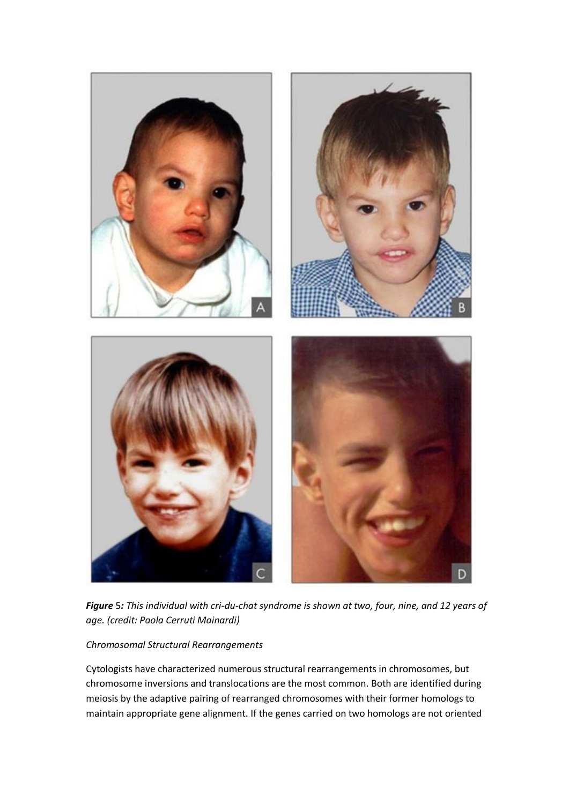

*Figure* 5*: This individual with cri-du-chat syndrome is shown at two, four, nine, and 12 years of age. (credit: Paola Cerruti Mainardi)*

## *Chromosomal Structural Rearrangements*

Cytologists have characterized numerous structural rearrangements in chromosomes, but chromosome inversions and translocations are the most common. Both are identified during meiosis by the adaptive pairing of rearranged chromosomes with their former homologs to maintain appropriate gene alignment. If the genes carried on two homologs are not oriented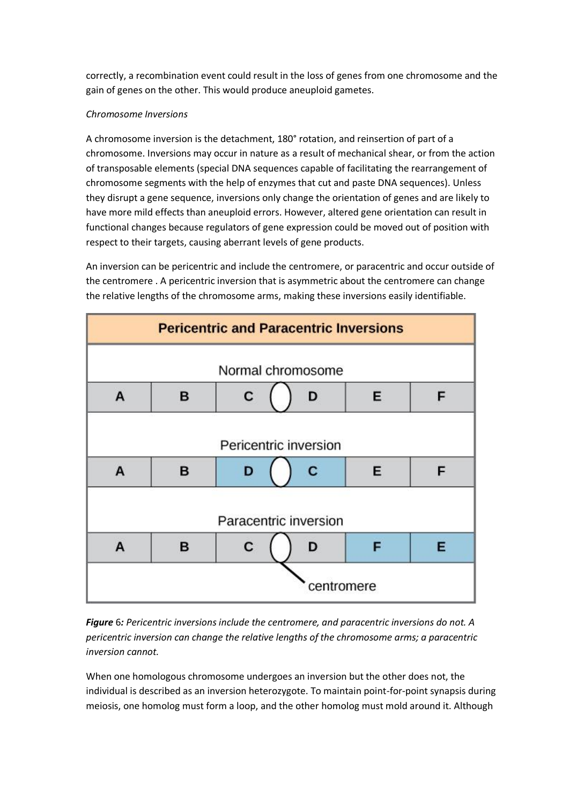correctly, a recombination event could result in the loss of genes from one chromosome and the gain of genes on the other. This would produce aneuploid gametes.

## *Chromosome Inversions*

A chromosome inversion is the detachment, 180° rotation, and reinsertion of part of a chromosome. Inversions may occur in nature as a result of mechanical shear, or from the action of transposable elements (special DNA sequences capable of facilitating the rearrangement of chromosome segments with the help of enzymes that cut and paste DNA sequences). Unless they disrupt a gene sequence, inversions only change the orientation of genes and are likely to have more mild effects than aneuploid errors. However, altered gene orientation can result in functional changes because regulators of gene expression could be moved out of position with respect to their targets, causing aberrant levels of gene products.

An inversion can be pericentric and include the centromere, or paracentric and occur outside of the centromere . A pericentric inversion that is asymmetric about the centromere can change the relative lengths of the chromosome arms, making these inversions easily identifiable.



*Figure* 6*: Pericentric inversions include the centromere, and paracentric inversions do not. A pericentric inversion can change the relative lengths of the chromosome arms; a paracentric inversion cannot.*

When one homologous chromosome undergoes an inversion but the other does not, the individual is described as an inversion heterozygote. To maintain point-for-point synapsis during meiosis, one homolog must form a loop, and the other homolog must mold around it. Although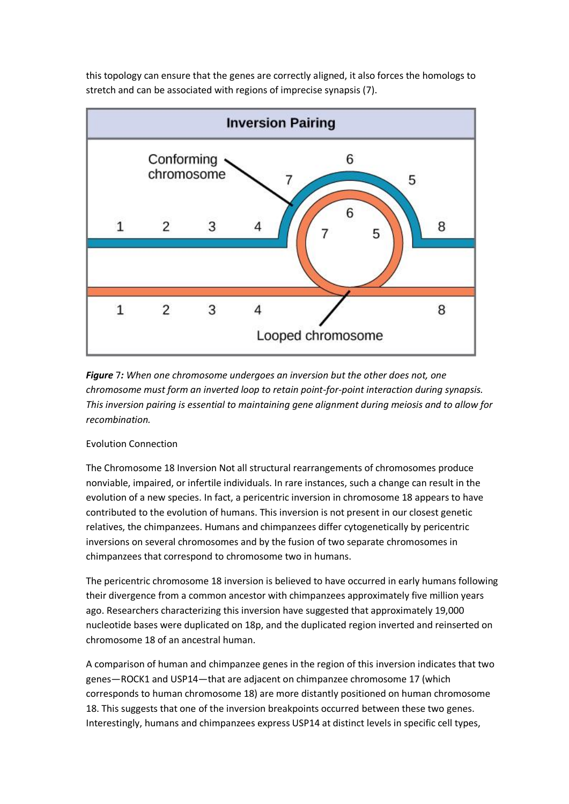

this topology can ensure that the genes are correctly aligned, it also forces the homologs to stretch and can be associated with regions of imprecise synapsis (7).

*Figure* 7*: When one chromosome undergoes an inversion but the other does not, one chromosome must form an inverted loop to retain point-for-point interaction during synapsis. This inversion pairing is essential to maintaining gene alignment during meiosis and to allow for recombination.*

#### Evolution Connection

The Chromosome 18 Inversion Not all structural rearrangements of chromosomes produce nonviable, impaired, or infertile individuals. In rare instances, such a change can result in the evolution of a new species. In fact, a pericentric inversion in chromosome 18 appears to have contributed to the evolution of humans. This inversion is not present in our closest genetic relatives, the chimpanzees. Humans and chimpanzees differ cytogenetically by pericentric inversions on several chromosomes and by the fusion of two separate chromosomes in chimpanzees that correspond to chromosome two in humans.

The pericentric chromosome 18 inversion is believed to have occurred in early humans following their divergence from a common ancestor with chimpanzees approximately five million years ago. Researchers characterizing this inversion have suggested that approximately 19,000 nucleotide bases were duplicated on 18p, and the duplicated region inverted and reinserted on chromosome 18 of an ancestral human.

A comparison of human and chimpanzee genes in the region of this inversion indicates that two genes—ROCK1 and USP14—that are adjacent on chimpanzee chromosome 17 (which corresponds to human chromosome 18) are more distantly positioned on human chromosome 18. This suggests that one of the inversion breakpoints occurred between these two genes. Interestingly, humans and chimpanzees express USP14 at distinct levels in specific cell types,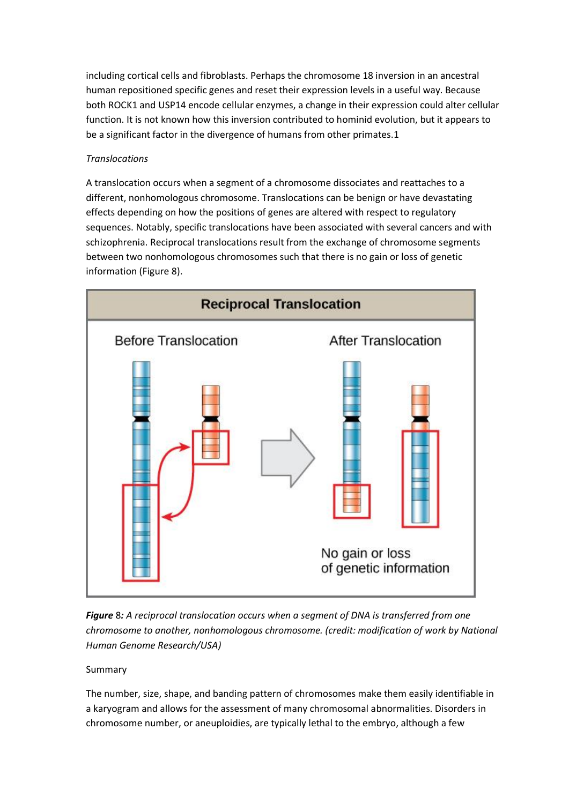including cortical cells and fibroblasts. Perhaps the chromosome 18 inversion in an ancestral human repositioned specific genes and reset their expression levels in a useful way. Because both ROCK1 and USP14 encode cellular enzymes, a change in their expression could alter cellular function. It is not known how this inversion contributed to hominid evolution, but it appears to be a significant factor in the divergence of humans from other primates.1

## *Translocations*

A translocation occurs when a segment of a chromosome dissociates and reattaches to a different, nonhomologous chromosome. Translocations can be benign or have devastating effects depending on how the positions of genes are altered with respect to regulatory sequences. Notably, specific translocations have been associated with several cancers and with schizophrenia. Reciprocal translocations result from the exchange of chromosome segments between two nonhomologous chromosomes such that there is no gain or loss of genetic information (Figure 8).



*Figure* 8*: A reciprocal translocation occurs when a segment of DNA is transferred from one chromosome to another, nonhomologous chromosome. (credit: modification of work by National Human Genome Research/USA)*

# Summary

The number, size, shape, and banding pattern of chromosomes make them easily identifiable in a karyogram and allows for the assessment of many chromosomal abnormalities. Disorders in chromosome number, or aneuploidies, are typically lethal to the embryo, although a few